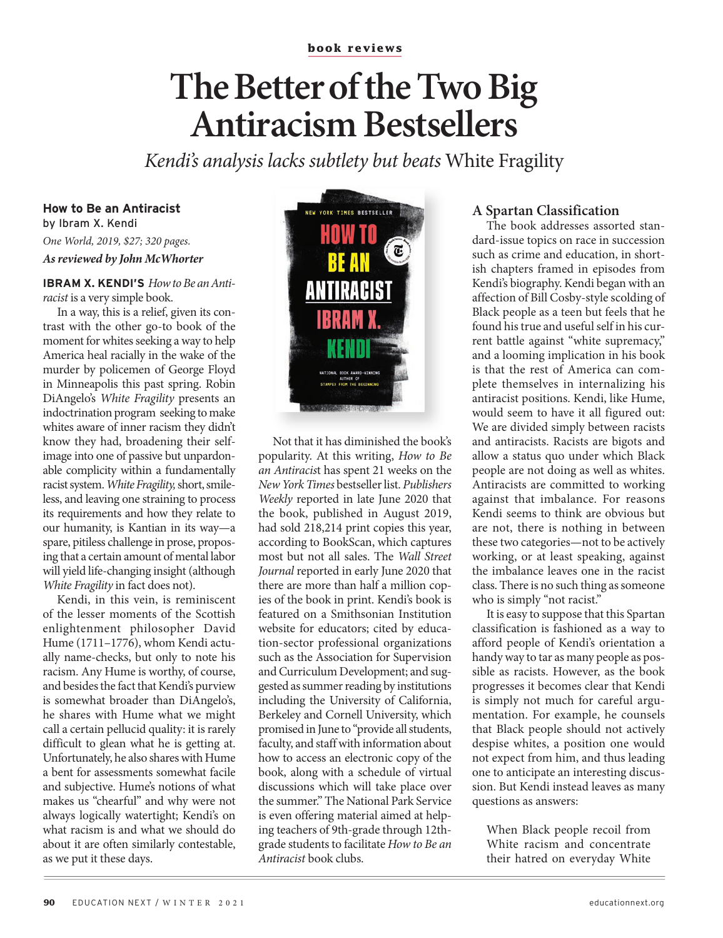#### **book reviews**

# **The Better of the Two Big Antiracism Bestsellers**

*Kendi's analysis lacks subtlety but beats* White Fragility

# **How to Be an Antiracist** by Ibram X. Kendi *One World, 2019, \$27; 320 pages. As reviewed by John McWhorter*

**IBRAM X. KENDI'S** *How to Be an Antiracist* is a very simple book.

In a way, this is a relief, given its contrast with the other go-to book of the moment for whites seeking a way to help America heal racially in the wake of the murder by policemen of George Floyd in Minneapolis this past spring. Robin DiAngelo's *White Fragility* presents an indoctrination program seeking to make whites aware of inner racism they didn't know they had, broadening their selfimage into one of passive but unpardonable complicity within a fundamentally racist system. *White Fragility,* short, smileless, and leaving one straining to process its requirements and how they relate to our humanity, is Kantian in its way—a spare, pitiless challenge in prose, proposing that a certain amount of mental labor will yield life-changing insight (although *White Fragility* in fact does not).

Kendi, in this vein, is reminiscent of the lesser moments of the Scottish enlightenment philosopher David Hume (1711–1776), whom Kendi actually name-checks, but only to note his racism. Any Hume is worthy, of course, and besides the fact that Kendi's purview is somewhat broader than DiAngelo's, he shares with Hume what we might call a certain pellucid quality: it is rarely difficult to glean what he is getting at. Unfortunately, he also shares with Hume a bent for assessments somewhat facile and subjective. Hume's notions of what makes us "chearful" and why were not always logically watertight; Kendi's on what racism is and what we should do about it are often similarly contestable, as we put it these days.



Not that it has diminished the book's popularity. At this writing, *How to Be an Antiracis*t has spent 21 weeks on the *New York Times* bestseller list. *Publishers Weekly* reported in late June 2020 that the book, published in August 2019, had sold 218,214 print copies this year, according to BookScan, which captures most but not all sales. The *Wall Street Journal* reported in early June 2020 that there are more than half a million copies of the book in print. Kendi's book is featured on a Smithsonian Institution website for educators; cited by education-sector professional organizations such as the Association for Supervision and Curriculum Development; and suggested as summer reading by institutions including the University of California, Berkeley and Cornell University, which promised in June to "provide all students, faculty, and staff with information about how to access an electronic copy of the book, along with a schedule of virtual discussions which will take place over the summer." The National Park Service is even offering material aimed at helping teachers of 9th-grade through 12thgrade students to facilitate *How to Be an Antiracist* book clubs.

### **A Spartan Classification**

The book addresses assorted standard-issue topics on race in succession such as crime and education, in shortish chapters framed in episodes from Kendi's biography. Kendi began with an affection of Bill Cosby-style scolding of Black people as a teen but feels that he found his true and useful self in his current battle against "white supremacy," and a looming implication in his book is that the rest of America can complete themselves in internalizing his antiracist positions. Kendi, like Hume, would seem to have it all figured out: We are divided simply between racists and antiracists. Racists are bigots and allow a status quo under which Black people are not doing as well as whites. Antiracists are committed to working against that imbalance. For reasons Kendi seems to think are obvious but are not, there is nothing in between these two categories—not to be actively working, or at least speaking, against the imbalance leaves one in the racist class. There is no such thing as someone who is simply "not racist."

It is easy to suppose that this Spartan classification is fashioned as a way to afford people of Kendi's orientation a handy way to tar as many people as possible as racists. However, as the book progresses it becomes clear that Kendi is simply not much for careful argumentation. For example, he counsels that Black people should not actively despise whites, a position one would not expect from him, and thus leading one to anticipate an interesting discussion. But Kendi instead leaves as many questions as answers:

When Black people recoil from White racism and concentrate their hatred on everyday White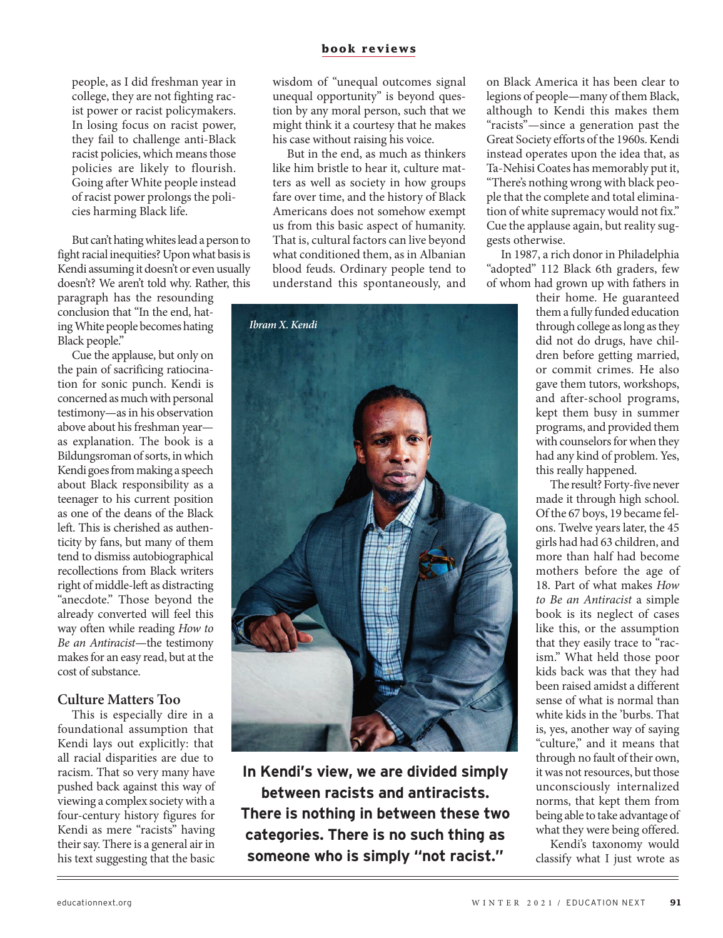#### **book reviews**

people, as I did freshman year in college, they are not fighting racist power or racist policymakers. In losing focus on racist power, they fail to challenge anti-Black racist policies, which means those policies are likely to flourish. Going after White people instead of racist power prolongs the policies harming Black life.

But can't hating whites lead a person to fight racial inequities? Upon what basis is Kendi assuming it doesn't or even usually doesn't? We aren't told why. Rather, this

paragraph has the resounding conclusion that "In the end, hating White people becomes hating Black people."

Cue the applause, but only on the pain of sacrificing ratiocination for sonic punch. Kendi is concerned as much with personal testimony—as in his observation above about his freshman year as explanation. The book is a Bildungsroman of sorts, in which Kendi goes from making a speech about Black responsibility as a teenager to his current position as one of the deans of the Black left. This is cherished as authenticity by fans, but many of them tend to dismiss autobiographical recollections from Black writers right of middle-left as distracting "anecdote." Those beyond the already converted will feel this way often while reading *How to Be an Antiracist*—the testimony makes for an easy read, but at the cost of substance.

#### **Culture Matters Too**

This is especially dire in a foundational assumption that Kendi lays out explicitly: that all racial disparities are due to racism. That so very many have pushed back against this way of viewing a complex society with a four-century history figures for Kendi as mere "racists" having their say. There is a general air in his text suggesting that the basic

wisdom of "unequal outcomes signal unequal opportunity" is beyond question by any moral person, such that we might think it a courtesy that he makes his case without raising his voice.

But in the end, as much as thinkers like him bristle to hear it, culture matters as well as society in how groups fare over time, and the history of Black Americans does not somehow exempt us from this basic aspect of humanity. That is, cultural factors can live beyond what conditioned them, as in Albanian blood feuds. Ordinary people tend to understand this spontaneously, and



**In Kendi's view, we are divided simply between racists and antiracists. There is nothing in between these two categories. There is no such thing as someone who is simply "not racist."**

on Black America it has been clear to legions of people—many of them Black, although to Kendi this makes them "racists"—since a generation past the Great Society efforts of the 1960s. Kendi instead operates upon the idea that, as Ta-Nehisi Coates has memorably put it, "There's nothing wrong with black people that the complete and total elimination of white supremacy would not fix." Cue the applause again, but reality suggests otherwise.

In 1987, a rich donor in Philadelphia "adopted" 112 Black 6th graders, few of whom had grown up with fathers in

> their home. He guaranteed them a fully funded education through college as long as they did not do drugs, have children before getting married, or commit crimes. He also gave them tutors, workshops, and after-school programs, kept them busy in summer programs, and provided them with counselors for when they had any kind of problem. Yes, this really happened.

> The result? Forty-five never made it through high school. Of the 67 boys, 19 became felons. Twelve years later, the 45 girls had had 63 children, and more than half had become mothers before the age of 18. Part of what makes *How to Be an Antiracist* a simple book is its neglect of cases like this, or the assumption that they easily trace to "racism." What held those poor kids back was that they had been raised amidst a different sense of what is normal than white kids in the 'burbs. That is, yes, another way of saying "culture," and it means that through no fault of their own, it was not resources, but those unconsciously internalized norms, that kept them from being able to take advantage of what they were being offered.

> Kendi's taxonomy would classify what I just wrote as